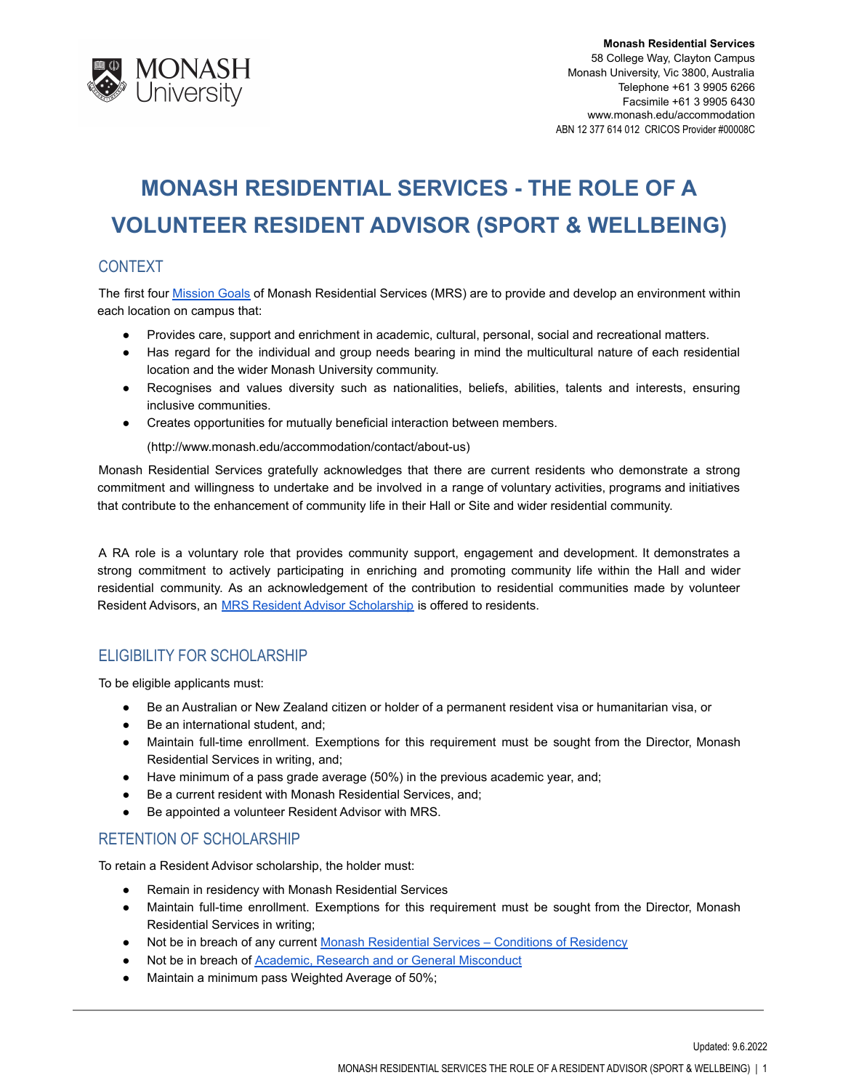

# **MONASH RESIDENTIAL SERVICES - THE ROLE OF A VOLUNTEER RESIDENT ADVISOR (SPORT & WELLBEING)**

## **CONTEXT**

The first four **[Mission](http://www.monash.edu.au/students/scholarships/mrs-residential-advisor.html) Goals of Monash Residential Services (MRS)** are to provide and develop an environment within each location on campus that:

- Provides care, support and enrichment in academic, cultural, personal, social and recreational matters.
- Has regard for the individual and group needs bearing in mind the multicultural nature of each residential location and the wider Monash University community.
- Recognises and values diversity such as nationalities, beliefs, abilities, talents and interests, ensuring inclusive communities.
- Creates opportunities for mutually beneficial interaction between members.

(http://www.monash.edu/accommodation/contact/about-us)

Monash Residential Services gratefully acknowledges that there are current residents who demonstrate a strong commitment and willingness to undertake and be involved in a range of voluntary activities, programs and initiatives that contribute to the enhancement of community life in their Hall or Site and wider residential community.

A RA role is a voluntary role that provides community support, engagement and development. It demonstrates a strong commitment to actively participating in enriching and promoting community life within the Hall and wider residential community. As an acknowledgement of the contribution to residential communities made by volunteer Resident Advisors, an **[MRS Resident Advisor Scholarship](http://www.monash.edu.au/students/scholarships/mrs-residential-advisor.html)** is offered to residents.

## ELIGIBILITY FOR SCHOLARSHIP

To be eligible applicants must:

- Be an Australian or New Zealand citizen or holder of a permanent resident visa or humanitarian visa, or
- Be an international student, and;
- Maintain full-time enrollment. Exemptions for this requirement must be sought from the Director, Monash Residential Services in writing, and;
- Have minimum of a pass grade average (50%) in the previous academic year, and;
- Be a current resident with Monash Residential Services, and;
- Be appointed a volunteer Resident Advisor with MRS.

### RETENTION OF SCHOLARSHIP

To retain a Resident Advisor scholarship, the holder must:

- Remain in residency with Monash Residential Services
- Maintain full-time enrollment. Exemptions for this requirement must be sought from the Director, Monash Residential Services in writing;
- Not be in breach of any current Monash Residential [Services Conditions of Residency](https://www.monash.edu/accommodation/accommodation/regulations-and-policies/conditions-of-residency)
- Not be in breach of [Academic, Research and or General](https://mga.monash.edu/get-help/advocacy/misconduct/) Misconduct
- Maintain a minimum pass Weighted Average of 50%;

Updated: 9.6.2022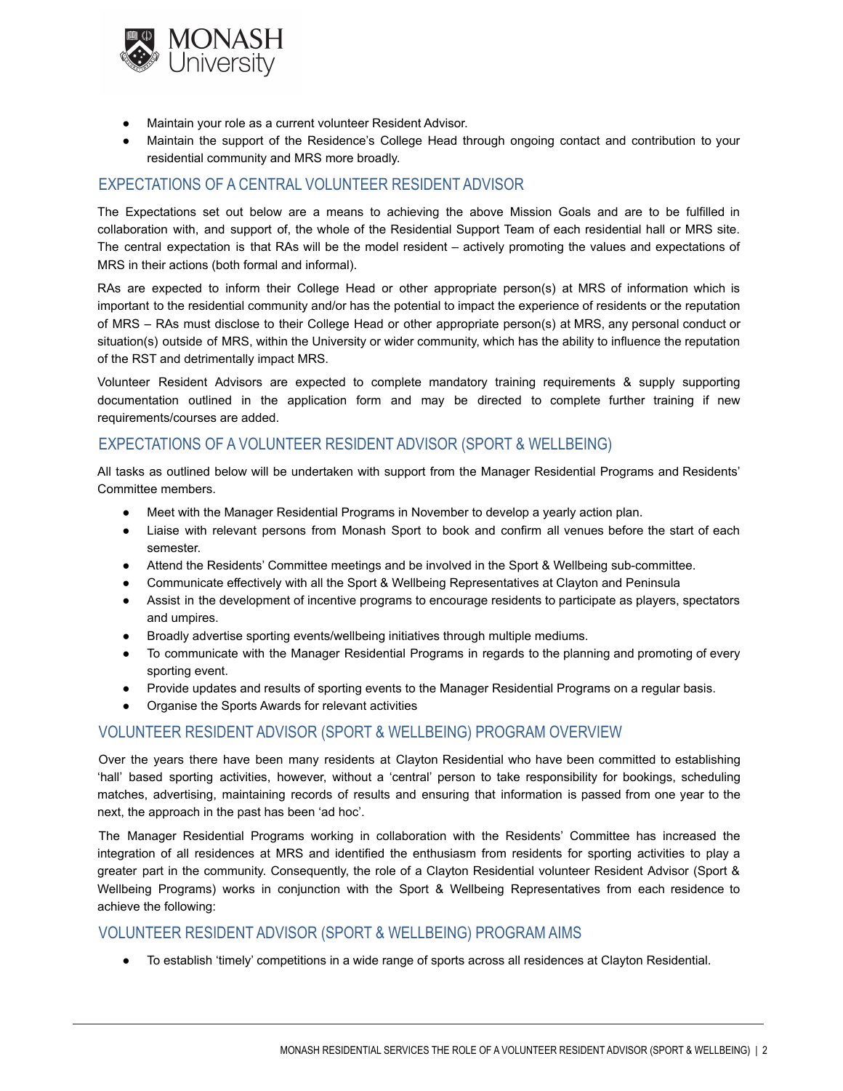

- Maintain your role as a current volunteer Resident Advisor.
- Maintain the support of the Residence's College Head through ongoing contact and contribution to your residential community and MRS more broadly.

## EXPECTATIONS OF A CENTRAL VOLUNTEER RESIDENT ADVISOR

The Expectations set out below are a means to achieving the above Mission Goals and are to be fulfilled in collaboration with, and support of, the whole of the Residential Support Team of each residential hall or MRS site. The central expectation is that RAs will be the model resident – actively promoting the values and expectations of MRS in their actions (both formal and informal).

RAs are expected to inform their College Head or other appropriate person(s) at MRS of information which is important to the residential community and/or has the potential to impact the experience of residents or the reputation of MRS – RAs must disclose to their College Head or other appropriate person(s) at MRS, any personal conduct or situation(s) outside of MRS, within the University or wider community, which has the ability to influence the reputation of the RST and detrimentally impact MRS.

Volunteer Resident Advisors are expected to complete mandatory training requirements & supply supporting documentation outlined in the application form and may be directed to complete further training if new requirements/courses are added.

### EXPECTATIONS OF A VOLUNTEER RESIDENT ADVISOR (SPORT & WELLBEING)

All tasks as outlined below will be undertaken with support from the Manager Residential Programs and Residents' Committee members.

- Meet with the Manager Residential Programs in November to develop a yearly action plan.
- Liaise with relevant persons from Monash Sport to book and confirm all venues before the start of each semester.
- Attend the Residents' Committee meetings and be involved in the Sport & Wellbeing sub-committee.
- Communicate effectively with all the Sport & Wellbeing Representatives at Clayton and Peninsula
- Assist in the development of incentive programs to encourage residents to participate as players, spectators and umpires.
- Broadly advertise sporting events/wellbeing initiatives through multiple mediums.
- To communicate with the Manager Residential Programs in regards to the planning and promoting of every sporting event.
- Provide updates and results of sporting events to the Manager Residential Programs on a regular basis.
- Organise the Sports Awards for relevant activities

### VOLUNTEER RESIDENT ADVISOR (SPORT & WELLBEING) PROGRAM OVERVIEW

Over the years there have been many residents at Clayton Residential who have been committed to establishing 'hall' based sporting activities, however, without a 'central' person to take responsibility for bookings, scheduling matches, advertising, maintaining records of results and ensuring that information is passed from one year to the next, the approach in the past has been 'ad hoc'.

The Manager Residential Programs working in collaboration with the Residents' Committee has increased the integration of all residences at MRS and identified the enthusiasm from residents for sporting activities to play a greater part in the community. Consequently, the role of a Clayton Residential volunteer Resident Advisor (Sport & Wellbeing Programs) works in conjunction with the Sport & Wellbeing Representatives from each residence to achieve the following:

### VOLUNTEER RESIDENT ADVISOR (SPORT & WELLBEING) PROGRAM AIMS

● To establish 'timely' competitions in a wide range of sports across all residences at Clayton Residential.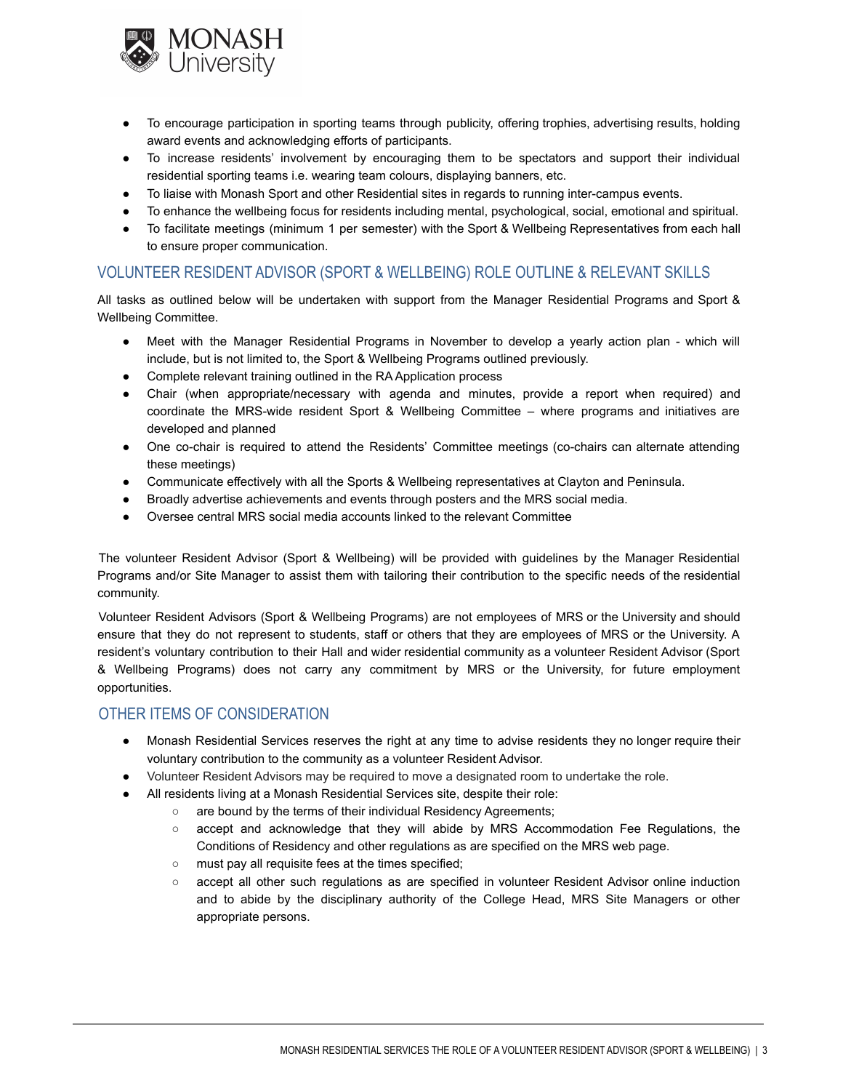

- To encourage participation in sporting teams through publicity, offering trophies, advertising results, holding award events and acknowledging efforts of participants.
- To increase residents' involvement by encouraging them to be spectators and support their individual residential sporting teams i.e. wearing team colours, displaying banners, etc.
- To liaise with Monash Sport and other Residential sites in regards to running inter-campus events.
- To enhance the wellbeing focus for residents including mental, psychological, social, emotional and spiritual.
- To facilitate meetings (minimum 1 per semester) with the Sport & Wellbeing Representatives from each hall to ensure proper communication.

### VOLUNTEER RESIDENT ADVISOR (SPORT & WELLBEING) ROLE OUTLINE & RELEVANT SKILLS

All tasks as outlined below will be undertaken with support from the Manager Residential Programs and Sport & Wellbeing Committee.

- Meet with the Manager Residential Programs in November to develop a yearly action plan which will include, but is not limited to, the Sport & Wellbeing Programs outlined previously.
- Complete relevant training outlined in the RA Application process
- Chair (when appropriate/necessary with agenda and minutes, provide a report when required) and coordinate the MRS-wide resident Sport & Wellbeing Committee – where programs and initiatives are developed and planned
- One co-chair is required to attend the Residents' Committee meetings (co-chairs can alternate attending these meetings)
- Communicate effectively with all the Sports & Wellbeing representatives at Clayton and Peninsula.
- Broadly advertise achievements and events through posters and the MRS social media.
- Oversee central MRS social media accounts linked to the relevant Committee

The volunteer Resident Advisor (Sport & Wellbeing) will be provided with guidelines by the Manager Residential Programs and/or Site Manager to assist them with tailoring their contribution to the specific needs of the residential community.

Volunteer Resident Advisors (Sport & Wellbeing Programs) are not employees of MRS or the University and should ensure that they do not represent to students, staff or others that they are employees of MRS or the University. A resident's voluntary contribution to their Hall and wider residential community as a volunteer Resident Advisor (Sport & Wellbeing Programs) does not carry any commitment by MRS or the University, for future employment opportunities.

#### OTHER ITEMS OF CONSIDERATION

- Monash Residential Services reserves the right at any time to advise residents they no longer require their voluntary contribution to the community as a volunteer Resident Advisor.
- Volunteer Resident Advisors may be required to move a designated room to undertake the role.
- All residents living at a Monash Residential Services site, despite their role:
	- are bound by the terms of their individual Residency Agreements;
		- accept and acknowledge that they will abide by MRS Accommodation Fee Regulations, the Conditions of Residency and other regulations as are specified on the MRS web page.
		- must pay all requisite fees at the times specified;
		- accept all other such regulations as are specified in volunteer Resident Advisor online induction and to abide by the disciplinary authority of the College Head, MRS Site Managers or other appropriate persons.